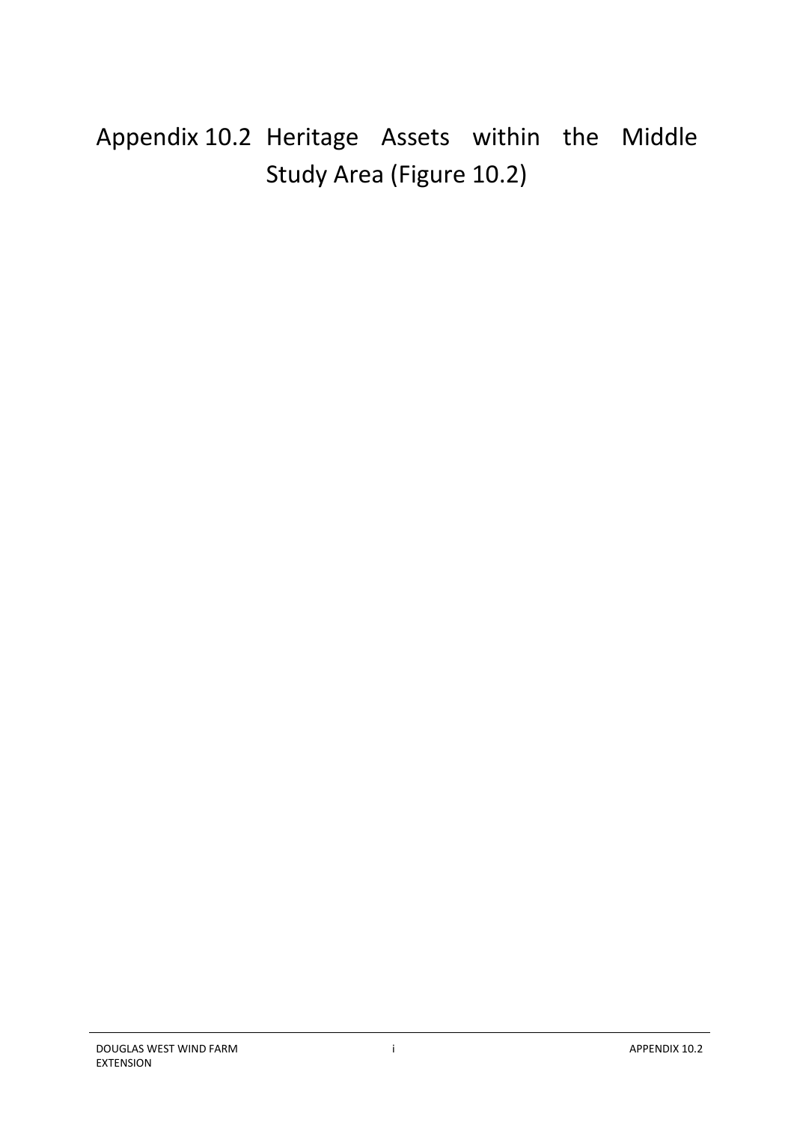## Appendix 10.2 Heritage Assets within the Middle Study Area (Figure 10.2)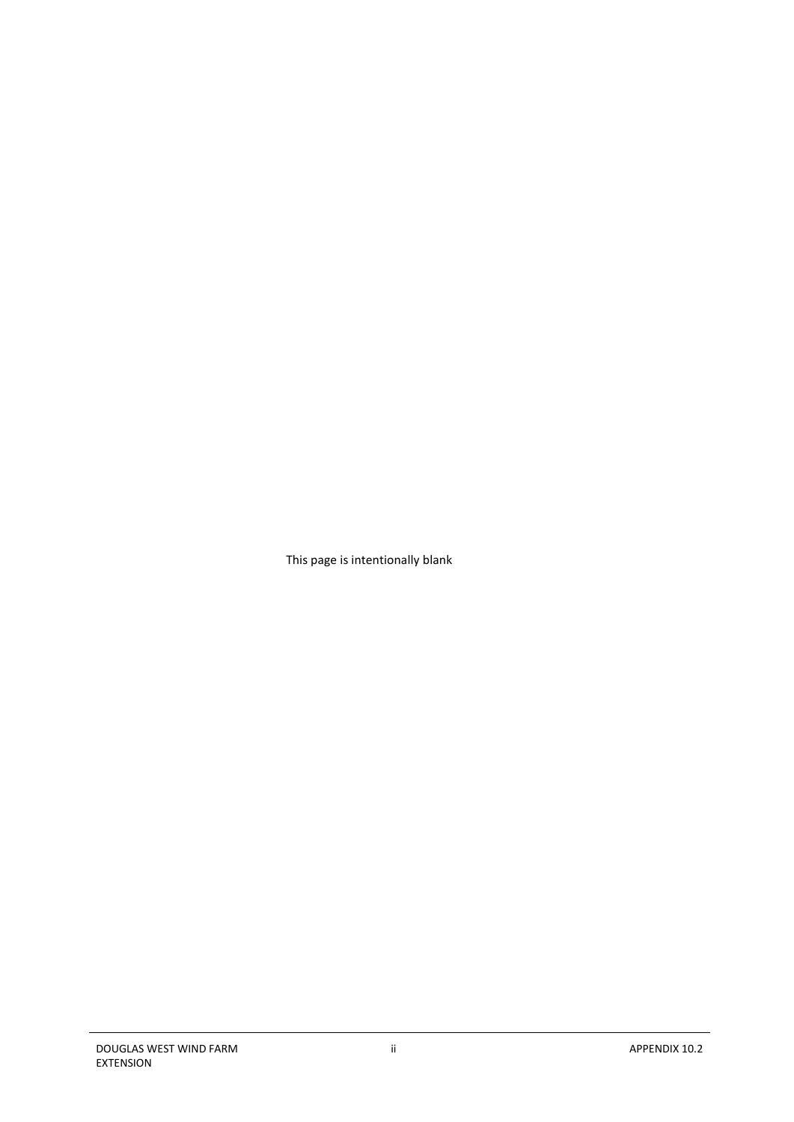This page is intentionally blank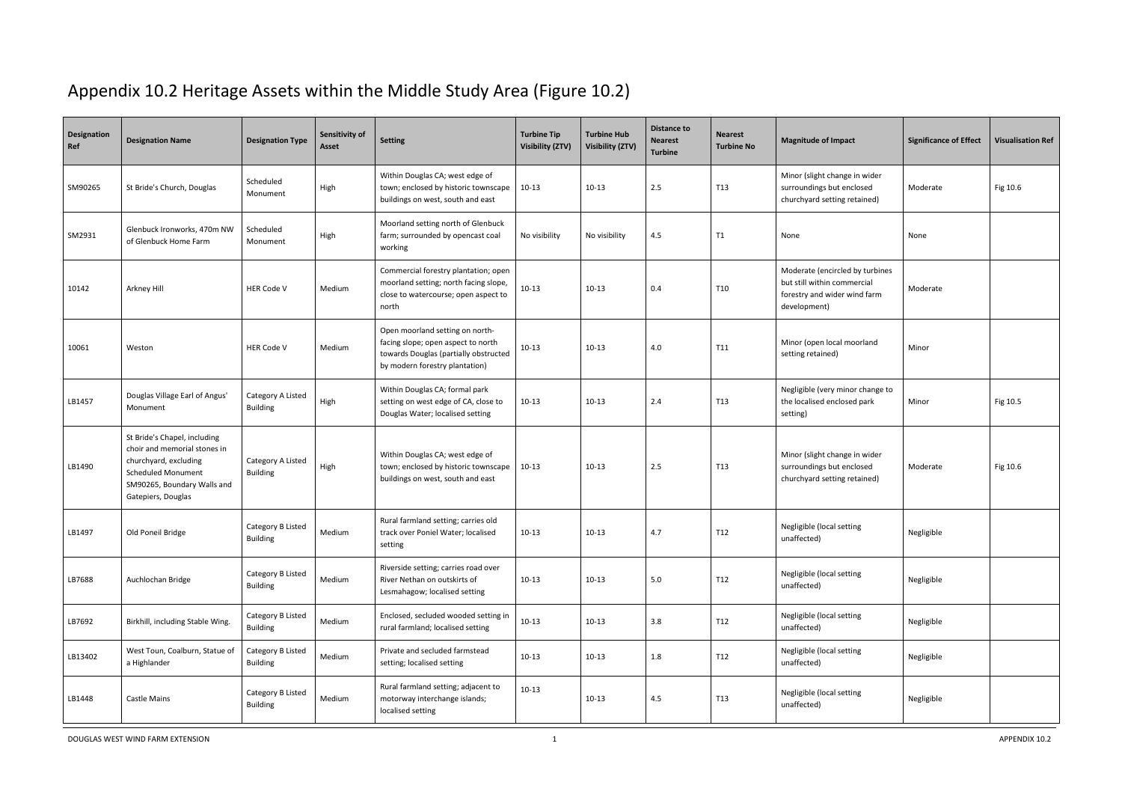## Appendix 10.2 Heritage Assets within the Middle Study Area (Figure 10.2)

| Designation<br>Ref | <b>Designation Name</b>                                                                                                                                                 | <b>Designation Type</b>              | Sensitivity of<br>Asset | <b>Setting</b>                                                                                                                                   | <b>Turbine Tip</b><br><b>Visibility (ZTV)</b> | <b>Turbine Hub</b><br><b>Visibility (ZTV)</b> | <b>Distance to</b><br><b>Nearest</b><br><b>Turbine</b> | <b>Nearest</b><br><b>Turbine No</b> | <b>Magnitude of Impact</b>                                                                                     | <b>Significance of Effect</b> | <b>Visualisation Ref</b> |
|--------------------|-------------------------------------------------------------------------------------------------------------------------------------------------------------------------|--------------------------------------|-------------------------|--------------------------------------------------------------------------------------------------------------------------------------------------|-----------------------------------------------|-----------------------------------------------|--------------------------------------------------------|-------------------------------------|----------------------------------------------------------------------------------------------------------------|-------------------------------|--------------------------|
| SM90265            | St Bride's Church, Douglas                                                                                                                                              | Scheduled<br>Monument                | High                    | Within Douglas CA; west edge of<br>town; enclosed by historic townscape<br>buildings on west, south and east                                     | $10-13$                                       | $10-13$                                       | 2.5                                                    | T13                                 | Minor (slight change in wider<br>surroundings but enclosed<br>churchyard setting retained)                     | Moderate                      | Fig 10.6                 |
| SM2931             | Glenbuck Ironworks, 470m NW<br>of Glenbuck Home Farm                                                                                                                    | Scheduled<br>Monument                | High                    | Moorland setting north of Glenbuck<br>farm; surrounded by opencast coal<br>working                                                               | No visibility                                 | No visibility                                 | 4.5                                                    | T1                                  | None                                                                                                           | None                          |                          |
| 10142              | Arkney Hill                                                                                                                                                             | <b>HER Code V</b>                    | Medium                  | Commercial forestry plantation; open<br>moorland setting; north facing slope,<br>close to watercourse; open aspect to<br>north                   | $10-13$                                       | $10-13$                                       | 0.4                                                    | T <sub>10</sub>                     | Moderate (encircled by turbines<br>but still within commercial<br>forestry and wider wind farm<br>development) | Moderate                      |                          |
| 10061              | Weston                                                                                                                                                                  | <b>HER Code V</b>                    | Medium                  | Open moorland setting on north-<br>facing slope; open aspect to north<br>towards Douglas (partially obstructed<br>by modern forestry plantation) | $10-13$                                       | $10-13$                                       | 4.0                                                    | T11                                 | Minor (open local moorland<br>setting retained)                                                                | Minor                         |                          |
| LB1457             | Douglas Village Earl of Angus'<br>Monument                                                                                                                              | Category A Listed<br><b>Building</b> | High                    | Within Douglas CA; formal park<br>setting on west edge of CA, close to<br>Douglas Water; localised setting                                       | $10-13$                                       | $10-13$                                       | 2.4                                                    | T13                                 | Negligible (very minor change to<br>the localised enclosed park<br>setting)                                    | Minor                         | Fig 10.5                 |
| LB1490             | St Bride's Chapel, including<br>choir and memorial stones in<br>churchyard, excluding<br><b>Scheduled Monument</b><br>SM90265, Boundary Walls and<br>Gatepiers, Douglas | Category A Listed<br><b>Building</b> | High                    | Within Douglas CA; west edge of<br>town; enclosed by historic townscape<br>buildings on west, south and east                                     | $10-13$                                       | $10-13$                                       | 2.5                                                    | T <sub>13</sub>                     | Minor (slight change in wider<br>surroundings but enclosed<br>churchyard setting retained)                     | Moderate                      | Fig 10.6                 |
| LB1497             | Old Poneil Bridge                                                                                                                                                       | Category B Listed<br><b>Building</b> | Medium                  | Rural farmland setting; carries old<br>track over Poniel Water; localised<br>setting                                                             | $10-13$                                       | $10-13$                                       | 4.7                                                    | T12                                 | Negligible (local setting<br>unaffected)                                                                       | Negligible                    |                          |
| LB7688             | Auchlochan Bridge                                                                                                                                                       | Category B Listed<br><b>Building</b> | Medium                  | Riverside setting; carries road over<br>River Nethan on outskirts of<br>Lesmahagow; localised setting                                            | $10-13$                                       | $10-13$                                       | 5.0                                                    | T12                                 | Negligible (local setting<br>unaffected)                                                                       | Negligible                    |                          |
| LB7692             | Birkhill, including Stable Wing.                                                                                                                                        | Category B Listed<br><b>Building</b> | Medium                  | Enclosed, secluded wooded setting in<br>rural farmland; localised setting                                                                        | $10-13$                                       | $10-13$                                       | 3.8                                                    | T12                                 | Negligible (local setting<br>unaffected)                                                                       | Negligible                    |                          |
| LB13402            | West Toun, Coalburn, Statue of<br>a Highlander                                                                                                                          | Category B Listed<br><b>Building</b> | Medium                  | Private and secluded farmstead<br>setting; localised setting                                                                                     | $10-13$                                       | $10-13$                                       | 1.8                                                    | T12                                 | Negligible (local setting<br>unaffected)                                                                       | Negligible                    |                          |
| LB1448             | Castle Mains                                                                                                                                                            | Category B Listed<br><b>Building</b> | Medium                  | Rural farmland setting; adjacent to<br>motorway interchange islands;<br>localised setting                                                        | $10-13$                                       | $10-13$                                       | 4.5                                                    | T13                                 | Negligible (local setting<br>unaffected)                                                                       | Negligible                    |                          |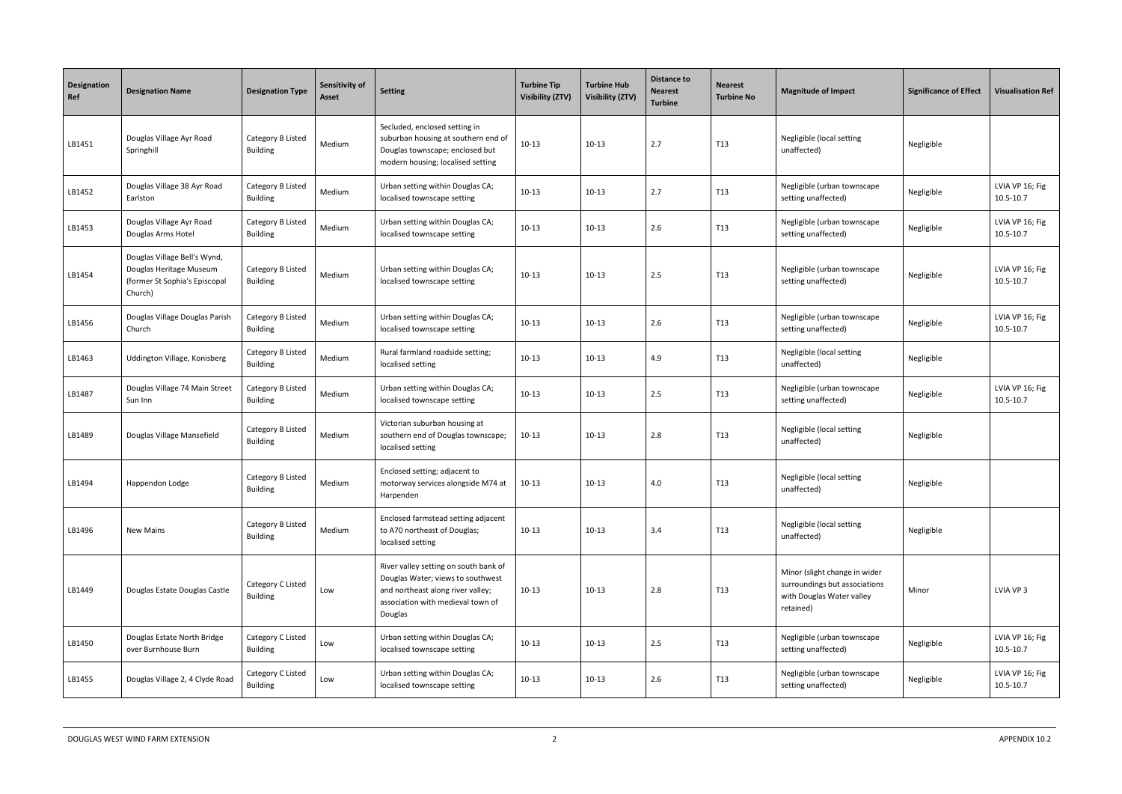| Designation<br>Ref | <b>Designation Name</b>                                                                             | <b>Designation Type</b>              | Sensitivity of<br>Asset | <b>Setting</b>                                                                                                                                                  | <b>Turbine Tip</b><br><b>Visibility (ZTV)</b> | <b>Turbine Hub</b><br>Visibility (ZTV) | Distance to<br><b>Nearest</b><br><b>Turbine</b> | <b>Nearest</b><br><b>Turbine No</b> | <b>Magnitude of Impact</b>                                                                               | <b>Significance of Effect</b> | <b>Visualisation Ref</b>         |
|--------------------|-----------------------------------------------------------------------------------------------------|--------------------------------------|-------------------------|-----------------------------------------------------------------------------------------------------------------------------------------------------------------|-----------------------------------------------|----------------------------------------|-------------------------------------------------|-------------------------------------|----------------------------------------------------------------------------------------------------------|-------------------------------|----------------------------------|
| LB1451             | Douglas Village Ayr Road<br>Springhill                                                              | Category B Listed<br><b>Building</b> | Medium                  | Secluded, enclosed setting in<br>suburban housing at southern end of<br>Douglas townscape; enclosed but<br>modern housing; localised setting                    | $10-13$                                       | $10-13$                                | 2.7                                             | T13                                 | Negligible (local setting<br>unaffected)                                                                 | Negligible                    |                                  |
| LB1452             | Douglas Village 38 Ayr Road<br>Earlston                                                             | Category B Listed<br><b>Building</b> | Medium                  | Urban setting within Douglas CA;<br>localised townscape setting                                                                                                 | $10-13$                                       | $10-13$                                | 2.7                                             | T <sub>13</sub>                     | Negligible (urban townscape<br>setting unaffected)                                                       | Negligible                    | LVIA VP 16; Fig<br>10.5-10.7     |
| LB1453             | Douglas Village Ayr Road<br>Douglas Arms Hotel                                                      | Category B Listed<br><b>Building</b> | Medium                  | Urban setting within Douglas CA;<br>localised townscape setting                                                                                                 | $10-13$                                       | $10-13$                                | 2.6                                             | T13                                 | Negligible (urban townscape<br>setting unaffected)                                                       | Negligible                    | LVIA VP 16; Fig<br>$10.5 - 10.7$ |
| LB1454             | Douglas Village Bell's Wynd,<br>Douglas Heritage Museum<br>(former St Sophia's Episcopal<br>Church) | Category B Listed<br><b>Building</b> | Medium                  | Urban setting within Douglas CA;<br>localised townscape setting                                                                                                 | $10-13$                                       | $10-13$                                | 2.5                                             | T13                                 | Negligible (urban townscape<br>setting unaffected)                                                       | Negligible                    | LVIA VP 16; Fig<br>10.5-10.7     |
| LB1456             | Douglas Village Douglas Parish<br>Church                                                            | Category B Listed<br><b>Building</b> | Medium                  | Urban setting within Douglas CA;<br>localised townscape setting                                                                                                 | $10-13$                                       | $10-13$                                | 2.6                                             | T13                                 | Negligible (urban townscape<br>setting unaffected)                                                       | Negligible                    | LVIA VP 16; Fig<br>10.5-10.7     |
| LB1463             | Uddington Village, Konisberg                                                                        | Category B Listed<br><b>Building</b> | Medium                  | Rural farmland roadside setting;<br>localised setting                                                                                                           | $10 - 13$                                     | $10-13$                                | 4.9                                             | T13                                 | Negligible (local setting<br>unaffected)                                                                 | Negligible                    |                                  |
| LB1487             | Douglas Village 74 Main Street<br>Sun Inn                                                           | Category B Listed<br><b>Building</b> | Medium                  | Urban setting within Douglas CA;<br>localised townscape setting                                                                                                 | $10-13$                                       | $10-13$                                | 2.5                                             | T13                                 | Negligible (urban townscape<br>setting unaffected)                                                       | Negligible                    | LVIA VP 16; Fig<br>10.5-10.7     |
| LB1489             | Douglas Village Mansefield                                                                          | Category B Listed<br><b>Building</b> | Medium                  | Victorian suburban housing at<br>southern end of Douglas townscape;<br>localised setting                                                                        | $10-13$                                       | $10-13$                                | 2.8                                             | T <sub>13</sub>                     | Negligible (local setting<br>unaffected)                                                                 | Negligible                    |                                  |
| LB1494             | Happendon Lodge                                                                                     | Category B Listed<br><b>Building</b> | Medium                  | Enclosed setting; adjacent to<br>motorway services alongside M74 at<br>Harpenden                                                                                | $10-13$                                       | $10-13$                                | 4.0                                             | T13                                 | Negligible (local setting<br>unaffected)                                                                 | Negligible                    |                                  |
| LB1496             | <b>New Mains</b>                                                                                    | Category B Listed<br><b>Building</b> | Medium                  | Enclosed farmstead setting adjacent<br>to A70 northeast of Douglas;<br>localised setting                                                                        | $10-13$                                       | $10-13$                                | 3.4                                             | <b>T13</b>                          | Negligible (local setting<br>unaffected)                                                                 | Negligible                    |                                  |
| LB1449             | Douglas Estate Douglas Castle                                                                       | Category C Listed<br><b>Building</b> | Low                     | River valley setting on south bank of<br>Douglas Water; views to southwest<br>and northeast along river valley;<br>association with medieval town of<br>Douglas | $10-13$                                       | $10-13$                                | 2.8                                             | T <sub>13</sub>                     | Minor (slight change in wider<br>surroundings but associations<br>with Douglas Water valley<br>retained) | Minor                         | LVIA VP 3                        |
| LB1450             | Douglas Estate North Bridge<br>over Burnhouse Burn                                                  | Category C Listed<br><b>Building</b> | Low                     | Urban setting within Douglas CA;<br>localised townscape setting                                                                                                 | $10-13$                                       | $10-13$                                | 2.5                                             | <b>T13</b>                          | Negligible (urban townscape<br>setting unaffected)                                                       | Negligible                    | LVIA VP 16; Fig<br>10.5-10.7     |
| LB1455             | Douglas Village 2, 4 Clyde Road                                                                     | Category C Listed<br><b>Building</b> | Low                     | Urban setting within Douglas CA;<br>localised townscape setting                                                                                                 | $10-13$                                       | $10-13$                                | 2.6                                             | T <sub>13</sub>                     | Negligible (urban townscape<br>setting unaffected)                                                       | Negligible                    | LVIA VP 16; Fig<br>10.5-10.7     |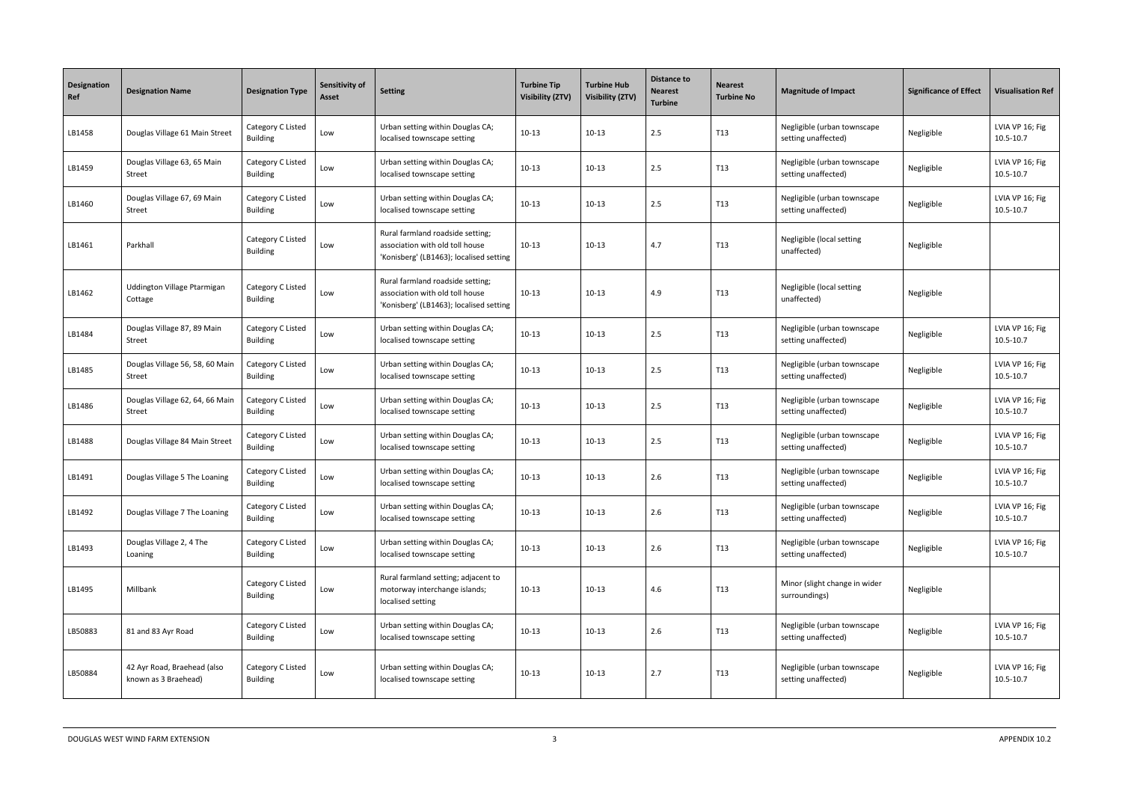| Designation<br>Ref | <b>Designation Name</b>                             | <b>Designation Type</b>              | Sensitivity of<br>Asset | <b>Setting</b>                                                                                                 | <b>Turbine Tip</b><br><b>Visibility (ZTV)</b> | <b>Turbine Hub</b><br>Visibility (ZTV) | <b>Distance to</b><br><b>Nearest</b><br><b>Turbine</b> | <b>Nearest</b><br><b>Turbine No</b> | <b>Magnitude of Impact</b>                         | <b>Significance of Effect</b> | <b>Visualisation Ref</b>         |
|--------------------|-----------------------------------------------------|--------------------------------------|-------------------------|----------------------------------------------------------------------------------------------------------------|-----------------------------------------------|----------------------------------------|--------------------------------------------------------|-------------------------------------|----------------------------------------------------|-------------------------------|----------------------------------|
| LB1458             | Douglas Village 61 Main Street                      | Category C Listed<br><b>Building</b> | Low                     | Urban setting within Douglas CA;<br>localised townscape setting                                                | $10-13$                                       | $10-13$                                | 2.5                                                    | T13                                 | Negligible (urban townscape<br>setting unaffected) | Negligible                    | LVIA VP 16; Fig<br>10.5-10.7     |
| LB1459             | Douglas Village 63, 65 Main<br>Street               | Category C Listed<br><b>Building</b> | Low                     | Urban setting within Douglas CA;<br>localised townscape setting                                                | $10-13$                                       | $10-13$                                | 2.5                                                    | T13                                 | Negligible (urban townscape<br>setting unaffected) | Negligible                    | LVIA VP 16; Fig<br>10.5-10.7     |
| LB1460             | Douglas Village 67, 69 Main<br>Street               | Category C Listed<br><b>Building</b> | Low                     | Urban setting within Douglas CA;<br>localised townscape setting                                                | $10-13$                                       | $10-13$                                | 2.5                                                    | T <sub>13</sub>                     | Negligible (urban townscape<br>setting unaffected) | Negligible                    | LVIA VP 16; Fig<br>$10.5 - 10.7$ |
| LB1461             | Parkhall                                            | Category C Listed<br><b>Building</b> | Low                     | Rural farmland roadside setting;<br>association with old toll house<br>'Konisberg' (LB1463); localised setting | $10-13$                                       | $10-13$                                | 4.7                                                    | T13                                 | Negligible (local setting<br>unaffected)           | Negligible                    |                                  |
| LB1462             | Uddington Village Ptarmigan<br>Cottage              | Category C Listed<br><b>Building</b> | Low                     | Rural farmland roadside setting;<br>association with old toll house<br>'Konisberg' (LB1463); localised setting | $10-13$                                       | $10-13$                                | 4.9                                                    | T13                                 | Negligible (local setting<br>unaffected)           | Negligible                    |                                  |
| LB1484             | Douglas Village 87, 89 Main<br>Street               | Category C Listed<br><b>Building</b> | Low                     | Urban setting within Douglas CA;<br>localised townscape setting                                                | $10-13$                                       | $10-13$                                | 2.5                                                    | T13                                 | Negligible (urban townscape<br>setting unaffected) | Negligible                    | LVIA VP 16; Fig<br>10.5-10.7     |
| LB1485             | Douglas Village 56, 58, 60 Main<br>Street           | Category C Listed<br><b>Building</b> | Low                     | Urban setting within Douglas CA;<br>localised townscape setting                                                | $10-13$                                       | $10-13$                                | 2.5                                                    | T13                                 | Negligible (urban townscape<br>setting unaffected) | Negligible                    | LVIA VP 16; Fig<br>10.5-10.7     |
| LB1486             | Douglas Village 62, 64, 66 Main<br>Street           | Category C Listed<br><b>Building</b> | Low                     | Urban setting within Douglas CA;<br>localised townscape setting                                                | $10-13$                                       | $10-13$                                | 2.5                                                    | T13                                 | Negligible (urban townscape<br>setting unaffected) | Negligible                    | LVIA VP 16; Fig<br>10.5-10.7     |
| LB1488             | Douglas Village 84 Main Street                      | Category C Listed<br><b>Building</b> | Low                     | Urban setting within Douglas CA;<br>localised townscape setting                                                | $10 - 13$                                     | $10-13$                                | 2.5                                                    | T13                                 | Negligible (urban townscape<br>setting unaffected) | Negligible                    | LVIA VP 16; Fig<br>$10.5 - 10.7$ |
| LB1491             | Douglas Village 5 The Loaning                       | Category C Listed<br><b>Building</b> | Low                     | Urban setting within Douglas CA;<br>localised townscape setting                                                | $10-13$                                       | $10-13$                                | 2.6                                                    | T <sub>13</sub>                     | Negligible (urban townscape<br>setting unaffected) | Negligible                    | LVIA VP 16; Fig<br>10.5-10.7     |
| LB1492             | Douglas Village 7 The Loaning                       | Category C Listed<br><b>Building</b> | Low                     | Urban setting within Douglas CA;<br>localised townscape setting                                                | $10-13$                                       | $10-13$                                | 2.6                                                    | T <sub>13</sub>                     | Negligible (urban townscape<br>setting unaffected) | Negligible                    | LVIA VP 16; Fig<br>10.5-10.7     |
| LB1493             | Douglas Village 2, 4 The<br>Loaning                 | Category C Listed<br><b>Building</b> | Low                     | Urban setting within Douglas CA;<br>localised townscape setting                                                | $10-13$                                       | $10-13$                                | 2.6                                                    | <b>T13</b>                          | Negligible (urban townscape<br>setting unaffected) | Negligible                    | LVIA VP 16; Fig<br>10.5-10.7     |
| LB1495             | Millbank                                            | Category C Listed<br><b>Building</b> | Low                     | Rural farmland setting; adjacent to<br>motorway interchange islands;<br>localised setting                      | $10-13$                                       | $10-13$                                | 4.6                                                    | T13                                 | Minor (slight change in wider<br>surroundings)     | Negligible                    |                                  |
| LB50883            | 81 and 83 Ayr Road                                  | Category C Listed<br><b>Building</b> | Low                     | Urban setting within Douglas CA;<br>localised townscape setting                                                | $10-13$                                       | $10-13$                                | 2.6                                                    | T13                                 | Negligible (urban townscape<br>setting unaffected) | Negligible                    | LVIA VP 16; Fig<br>10.5-10.7     |
| LB50884            | 42 Ayr Road, Braehead (also<br>known as 3 Braehead) | Category C Listed<br><b>Building</b> | Low                     | Urban setting within Douglas CA;<br>localised townscape setting                                                | $10-13$                                       | $10-13$                                | 2.7                                                    | T13                                 | Negligible (urban townscape<br>setting unaffected) | Negligible                    | LVIA VP 16; Fig<br>10.5-10.7     |